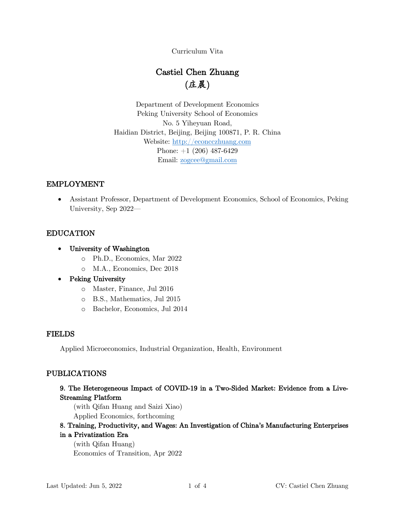Curriculum Vita

# Castiel Chen Zhuang (庄晨)

Department of Development Economics Peking University School of Economics No. 5 Yiheyuan Road, Haidian District, Beijing, Beijing 100871, P. R. China Website: http://econcczhuang.com Phone: +1 (206) 487-6429 Email: zogcee@gmail.com

#### EMPLOYMENT

• Assistant Professor, Department of Development Economics, School of Economics, Peking University, Sep 2022—

#### EDUCATION

- University of Washington
	- o Ph.D., Economics, Mar 2022
	- o M.A., Economics, Dec 2018
- Peking University
	- o Master, Finance, Jul 2016
	- o B.S., Mathematics, Jul 2015
	- o Bachelor, Economics, Jul 2014

#### FIELDS

Applied Microeconomics, Industrial Organization, Health, Environment

#### PUBLICATIONS

# 9. The Heterogeneous Impact of COVID-19 in a Two-Sided Market: Evidence from a Live-Streaming Platform

(with Qifan Huang and Saizi Xiao) Applied Economics, forthcoming

# 8. Training, Productivity, and Wages: An Investigation of China's Manufacturing Enterprises

#### in a Privatization Era

(with Qifan Huang) Economics of Transition, Apr 2022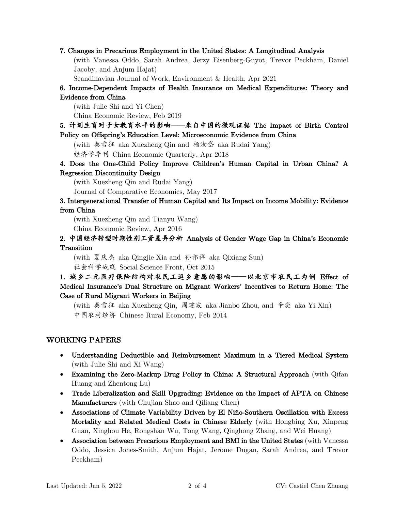#### 7. Changes in Precarious Employment in the United States: A Longitudinal Analysis

(with Vanessa Oddo, Sarah Andrea, Jerzy Eisenberg-Guyot, Trevor Peckham, Daniel Jacoby, and Anjum Hajat)

Scandinavian Journal of Work, Environment & Health, Apr 2021

# 6. Income-Dependent Impacts of Health Insurance on Medical Expenditures: Theory and Evidence from China

(with Julie Shi and Yi Chen)

China Economic Review, Feb 2019

5. 计划生育对子女教育水平的影响——来自中国的微观证据 The Impact of Birth Control Policy on Offspring's Education Level: Microeconomic Evidence from China

(with 秦雪征 aka Xuezheng Qin and 杨汝岱 aka Rudai Yang)

经济学季刊 China Economic Quarterly, Apr 2018

4. Does the One-Child Policy Improve Children's Human Capital in Urban China? A Regression Discontinuity Design

(with Xuezheng Qin and Rudai Yang)

Journal of Comparative Economics, May 2017

#### 3. Intergenerational Transfer of Human Capital and Its Impact on Income Mobility: Evidence from China

(with Xuezheng Qin and Tianyu Wang)

China Economic Review, Apr 2016

#### 2. 中国经济转型时期性别工资差异分析 Analysis of Gender Wage Gap in China's Economic Transition

(with 夏庆杰 aka Qingjie Xia and 孙祁祥 aka Qixiang Sun) 社会科学战线 Social Science Front, Oct 2015

# 1. 城乡二元医疗保险结构对农民工返乡意愿的影响——以北京市农民工为例 Effect of Medical Insurance's Dual Structure on Migrant Workers' Incentives to Return Home: The Case of Rural Migrant Workers in Beijing

(with 秦雪征 aka Xuezheng Qin, 周建波 aka Jianbo Zhou, and 辛奕 aka Yi Xin) 中国农村经济 Chinese Rural Economy, Feb 2014

#### WORKING PAPERS

- Understanding Deductible and Reimbursement Maximum in a Tiered Medical System (with Julie Shi and Xi Wang)
- Examining the Zero-Markup Drug Policy in China: A Structural Approach (with Qifan Huang and Zhentong Lu)
- Trade Liberalization and Skill Upgrading: Evidence on the Impact of APTA on Chinese Manufacturers (with Chujian Shao and Qiliang Chen)
- Associations of Climate Variability Driven by El Niño-Southern Oscillation with Excess Mortality and Related Medical Costs in Chinese Elderly (with Hongbing Xu, Xinpeng Guan, Xinghou He, Rongshan Wu, Tong Wang, Qinghong Zhang, and Wei Huang)
- Association between Precarious Employment and BMI in the United States (with Vanessa Oddo, Jessica Jones-Smith, Anjum Hajat, Jerome Dugan, Sarah Andrea, and Trevor Peckham)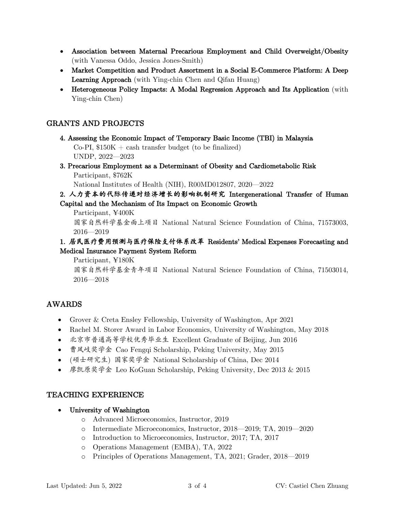- Association between Maternal Precarious Employment and Child Overweight/Obesity (with Vanessa Oddo, Jessica Jones-Smith)
- Market Competition and Product Assortment in a Social E-Commerce Platform: A Deep **Learning Approach** (with Ying-chin Chen and Qifan Huang)
- Heterogeneous Policy Impacts: A Modal Regression Approach and Its Application (with Ying-chin Chen)

# **GRANTS AND PROJECTS**

- 4. Assessing the Economic Impact of Temporary Basic Income (TBI) in Malaysia  $Co-PI$ , \$150K + cash transfer budget (to be finalized) UNDP, 2022-2023
- 3. Precarious Employment as a Determinant of Obesity and Cardiometabolic Risk Participant, \$762K

National Institutes of Health (NIH), R00MD012807, 2020—2022

# 2. 人力资本的代际传递对经济增长的影响机制研究 Intergenerational Transfer of Human Capital and the Mechanism of Its Impact on Economic Growth

Participant, ¥400K 国家自然科学基金面上项目 National Natural Science Foundation of China, 71573003,  $2016 - 2019$ 

## 1. 居民医疗费用预测与医疗保险支付体系改革 Residents' Medical Expenses Forecasting and Medical Insurance Payment System Reform

Participant, ¥180K

国家自然科学基金青年项目 National Natural Science Foundation of China, 71503014,  $2016 - 2018$ 

# **AWARDS**

- Grover & Creta Ensley Fellowship, University of Washington, Apr  $2021$
- Rachel M. Storer Award in Labor Economics, University of Washington, May 2018
- 北京市普通高等学校优秀毕业生 Excellent Graduate of Beijing, Jun 2016
- 曹凤岐奖学金 Cao Fengqi Scholarship, Peking University, May 2015
- (硕士研究生) 国家奖学金 National Scholarship of China, Dec 2014
- 廖凯原奖学金 Leo KoGuan Scholarship, Peking University, Dec 2013 & 2015

# **TEACHING EXPERIENCE**

- University of Washington  $\bullet$ 
	- o Advanced Microeconomics, Instructor, 2019
	- o Intermediate Microeconomics, Instructor, 2018—2019; TA, 2019—2020
	- o Introduction to Microeconomics, Instructor, 2017; TA, 2017
	- o Operations Management (EMBA), TA, 2022
	- o Principles of Operations Management, TA, 2021; Grader, 2018-2019